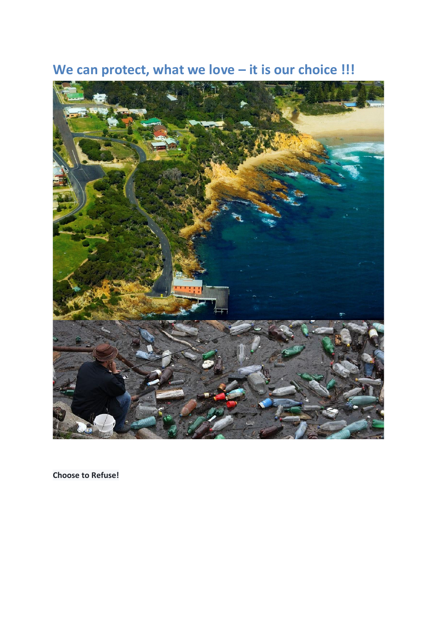



**Choose to Refuse!**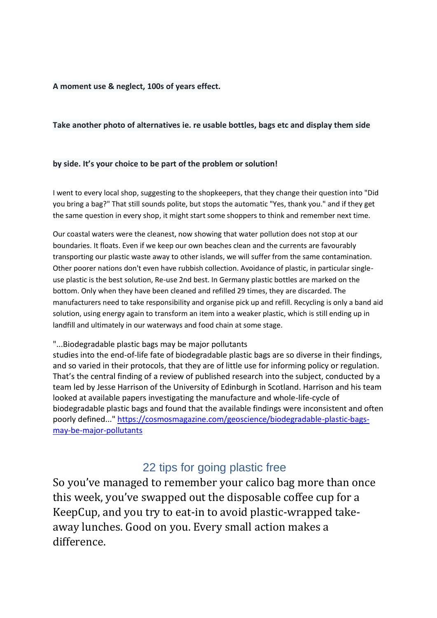#### **A moment use & neglect, 100s of years effect.**

#### **Take another photo of alternatives ie. re usable bottles, bags etc and display them side**

#### **by side. It's your choice to be part of the problem or solution!**

I went to every local shop, suggesting to the shopkeepers, that they change their question into "Did you bring a bag?" That still sounds polite, but stops the automatic "Yes, thank you." and if they get the same question in every shop, it might start some shoppers to think and remember next time.

Our coastal waters were the cleanest, now showing that water pollution does not stop at our boundaries. It floats. Even if we keep our own beaches clean and the currents are favourably transporting our plastic waste away to other islands, we will suffer from the same contamination. Other poorer nations don't even have rubbish collection. Avoidance of plastic, in particular singleuse plastic is the best solution, Re-use 2nd best. In Germany plastic bottles are marked on the bottom. Only when they have been cleaned and refilled 29 times, they are discarded. The manufacturers need to take responsibility and organise pick up and refill. Recycling is only a band aid solution, using energy again to transform an item into a weaker plastic, which is still ending up in landfill and ultimately in our waterways and food chain at some stage.

#### "...Biodegradable plastic bags may be major pollutants

studies into the end-of-life fate of biodegradable plastic bags are so diverse in their findings, and so varied in their protocols, that they are of little use for informing policy or regulation. That's the central finding of a review of published research into the subject, conducted by a team led by Jesse Harrison of the University of Edinburgh in Scotland. Harrison and his team looked at available papers investigating the manufacture and whole-life-cycle of biodegradable plastic bags and found that the available findings were inconsistent and often poorly defined..." [https://cosmosmagazine.com/geoscience/biodegradable-plastic-bags](https://cosmosmagazine.com/geoscience/biodegradable-plastic-bags-may-be-major-pollutants)[may-be-major-pollutants](https://cosmosmagazine.com/geoscience/biodegradable-plastic-bags-may-be-major-pollutants)

## 22 tips for going plastic free

So you've managed to remember your calico bag more than once this week, you've swapped out the disposable coffee cup for a KeepCup, and you try to eat-in to avoid plastic-wrapped takeaway lunches. Good on you. Every small action makes a difference.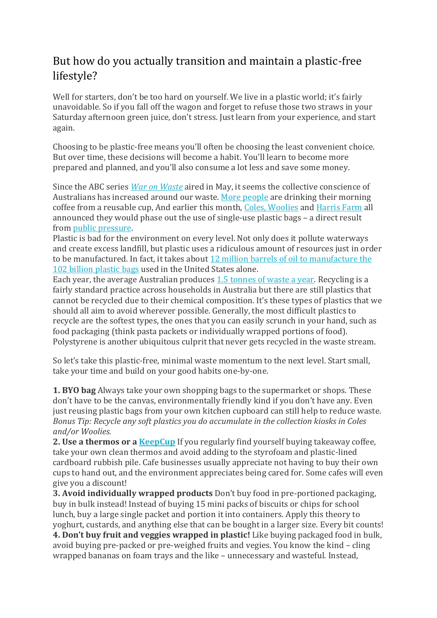## But how do you actually transition and maintain a plastic-free lifestyle?

Well for starters, don't be too hard on yourself. We live in a plastic world; it's fairly unavoidable. So if you fall off the wagon and forget to refuse those two straws in your Saturday afternoon green juice, don't stress. Just learn from your experience, and start again.

Choosing to be plastic-free means you'll often be choosing the least convenient choice. But over time, these decisions will become a habit. You'll learn to become more prepared and planned, and you'll also consume a lot less and save some money.

Since the ABC series *War on [Waste](http://www.abc.net.au/ourfocus/waronwaste/)* aired in May, it seems the collective conscience of Australians has increased around our waste. More [people](http://www.abc.net.au/news/2017-05-18/abigail-forsyth-how-the-keepcup-nearly-did-not-happen/8537150) are drinking their morning coffee from a reusable cup, And earlier this month, Coles, [Woolies](http://www.abc.net.au/news/2017-07-14/woolworths-to-phase-out-plastic-bags-around-the-country/8709336) and [Harris](https://www.harrisfarm.com.au/blogs/news/were-going-to-banthebag) Farm all announced they would phase out the use of single-use plastic bags – a direct result from public [pressure.](http://www.smh.com.au/nsw/what-should-be-in-store-for-plastic-bags-20170717-gxcu5q.html)

Plastic is bad for the environment on every level. Not only does it pollute waterways and create excess landfill, but plastic uses a ridiculous amount of resources just in order to be manufactured. In fact, it takes about 12 million barrels of oil to [manufacture](http://www.unric.org/en/latest-un-buzz/28776-100-billion-plastic-bags-used-annually-in-the-ushttp:/www.unric.org/en/latest-un-buzz/28776-100-billion-plastic-bags-used-annually-in-the-us) the 102 billion [plastic](http://www.unric.org/en/latest-un-buzz/28776-100-billion-plastic-bags-used-annually-in-the-ushttp:/www.unric.org/en/latest-un-buzz/28776-100-billion-plastic-bags-used-annually-in-the-us) bags used in the United States alone.

Each year, the average Australian produces 1.5 [tonnes](http://www.greenpeace.org.au/blog/trash-selfie/#.WX6cwoSGNhG) of waste a year. Recycling is a fairly standard practice across households in Australia but there are still plastics that cannot be recycled due to their chemical composition. It's these types of plastics that we should all aim to avoid wherever possible. Generally, the most difficult plastics to recycle are the softest types, the ones that you can easily scrunch in your hand, such as food packaging (think pasta packets or individually wrapped portions of food). Polystyrene is another ubiquitous culprit that never gets recycled in the waste stream.

So let's take this plastic-free, minimal waste momentum to the next level. Start small, take your time and build on your good habits one-by-one.

**1. BYO bag** Always take your own shopping bags to the supermarket or shops. These don't have to be the canvas, environmentally friendly kind if you don't have any. Even just reusing plastic bags from your own kitchen cupboard can still help to reduce waste. *Bonus Tip: Recycle any soft plastics you do accumulate in the collection kiosks in Coles and/or Woolies.*

**2. Use a thermos or a [KeepCup](http://www.keepcup.com.au/)** If you regularly find yourself buying takeaway coffee, take your own clean thermos and avoid adding to the styrofoam and plastic-lined cardboard rubbish pile. Cafe businesses usually appreciate not having to buy their own cups to hand out, and the environment appreciates being cared for. Some cafes will even give you a discount!

**3. Avoid individually wrapped products** Don't buy food in pre-portioned packaging, buy in bulk instead! Instead of buying 15 mini packs of biscuits or chips for school lunch, buy a large single packet and portion it into containers. Apply this theory to yoghurt, custards, and anything else that can be bought in a larger size. Every bit counts! **4. Don't buy fruit and veggies wrapped in plastic!** Like buying packaged food in bulk, avoid buying pre-packed or pre-weighed fruits and vegies. You know the kind – cling wrapped bananas on foam trays and the like – unnecessary and wasteful. Instead,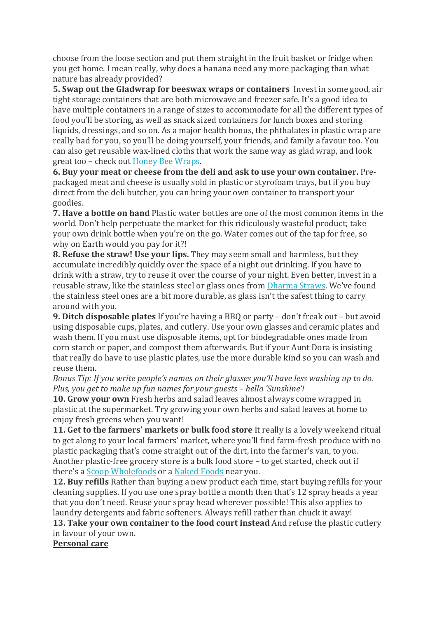choose from the loose section and put them straight in the fruit basket or fridge when you get home. I mean really, why does a banana need any more packaging than what nature has already provided?

**5. Swap out the Gladwrap for beeswax wraps or containers** Invest in some good, air tight storage containers that are both microwave and freezer safe. It's a good idea to have multiple containers in a range of sizes to accommodate for all the different types of food you'll be storing, as well as snack sized containers for lunch boxes and storing liquids, dressings, and so on. As a major health bonus, the phthalates in plastic wrap are really bad for you, so you'll be doing yourself, your friends, and family a favour too. You can also get reusable wax-lined cloths that work the same way as glad wrap, and look great too – check out Honey Bee [Wraps.](http://www.honeybeewrap.com.au/)

**6. Buy your meat or cheese from the deli and ask to use your own container.** Prepackaged meat and cheese is usually sold in plastic or styrofoam trays, but if you buy direct from the deli butcher, you can bring your own container to transport your goodies.

**7. Have a bottle on hand** Plastic water bottles are one of the most common items in the world. Don't help perpetuate the market for this ridiculously wasteful product; take your own drink bottle when you're on the go. Water comes out of the tap for free, so why on Earth would you pay for it?!

**8. Refuse the straw! Use your lips.** They may seem small and harmless, but they accumulate incredibly quickly over the space of a night out drinking. If you have to drink with a straw, try to reuse it over the course of your night. Even better, invest in a reusable straw, like the stainless steel or glass ones from [Dharma](http://www.glassdharma.com/) Straws. We've found the stainless steel ones are a bit more durable, as glass isn't the safest thing to carry around with you.

**9. Ditch disposable plates** If you're having a BBQ or party – don't freak out – but avoid using disposable cups, plates, and cutlery. Use your own glasses and ceramic plates and wash them. If you must use disposable items, opt for biodegradable ones made from corn starch or paper, and compost them afterwards. But if your Aunt Dora is insisting that really do have to use plastic plates, use the more durable kind so you can wash and reuse them.

*Bonus Tip: If you write people's names on their glasses you'll have less washing up to do. Plus, you get to make up fun names for your guests – hello 'Sunshine'!*

**10. Grow your own** Fresh herbs and salad leaves almost always come wrapped in plastic at the supermarket. Try growing your own herbs and salad leaves at home to enjoy fresh greens when you want!

**11. Get to the farmers' markets or bulk food store** It really is a lovely weekend ritual to get along to your local farmers' market, where you'll find farm-fresh produce with no plastic packaging that's come straight out of the dirt, into the farmer's van, to you. Another plastic-free grocery store is a bulk food store – to get started, check out if there's a Scoop [Wholefoods](http://scoopwholefoods.com.au/) or a [Naked](http://nakedfoods.com.au/) Foods near you.

**12. Buy refills** Rather than buying a new product each time, start buying refills for your cleaning supplies. If you use one spray bottle a month then that's 12 spray heads a year that you don't need. Reuse your spray head wherever possible! This also applies to laundry detergents and fabric softeners. Always refill rather than chuck it away!

**13. Take your own container to the food court instead** And refuse the plastic cutlery in favour of your own.

**Personal care**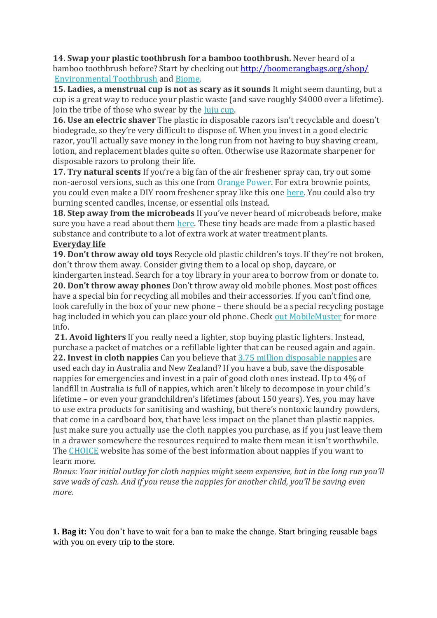**14. Swap your plastic toothbrush for a bamboo toothbrush.** Never heard of a bamboo toothbrush before? Start by checking out<http://boomerangbags.org/shop/> [Environmental](https://environmentaltoothbrush.com.au/) Toothbrush and [Biome.](http://www.biome.com.au/66-natural-toothpaste-toothbrush)

**15. Ladies, a menstrual cup is not as scary as it sounds** It might seem daunting, but a cup is a great way to reduce your plastic waste (and save roughly \$4000 over a lifetime). Join the tribe of those who swear by the Juju [cup.](http://www.juju.com.au/)

**16. Use an electric shaver** The plastic in disposable razors isn't recyclable and doesn't biodegrade, so they're very difficult to dispose of. When you invest in a good electric razor, you'll actually save money in the long run from not having to buy shaving cream, lotion, and replacement blades quite so often. Otherwise use Razormate sharpener for disposable razors to prolong their life.

**17. Try natural scents** If you're a big fan of the air freshener spray can, try out some non-aerosol versions, such as this one from [Orange](http://awareenvironmental.com.au/products/orange-power/) Power. For extra brownie points, you could even make a DIY room freshener spray like this one [here.](http://helloglow.co/natural-air-freshener/) You could also try burning scented candles, incense, or essential oils instead.

**18. Step away from the microbeads** If you've never heard of microbeads before, make sure you have a read about them [here.](http://storyofstuff.org/plastic-microbeads-ban-the-bead/) These tiny beads are made from a plastic based substance and contribute to a lot of extra work at water treatment plants.

## **Everyday life**

**19. Don't throw away old toys** Recycle old plastic children's toys. If they're not broken, don't throw them away. Consider giving them to a local op shop, daycare, or kindergarten instead. Search for a toy library in your area to borrow from or donate to. **20. Don't throw away phones** Don't throw away old mobile phones. Most post offices have a special bin for recycling all mobiles and their accessories. If you can't find one, look carefully in the box of your new phone – there should be a special recycling postage bag included in which you can place your old phone. Check out [MobileMuster](http://www.mobilemuster.com.au/) for more info.

**21. Avoid lighters** If you really need a lighter, stop buying plastic lighters. Instead, purchase a packet of matches or a refillable lighter that can be reused again and again. **22. Invest in cloth nappies** Can you believe that 3.75 million [disposable](https://www.choice.com.au/babies-and-kids/baby-clothes-and-nappies/nappies/buying-guides/disposable-and-cloth-nappies) nappies are used each day in Australia and New Zealand? If you have a bub, save the disposable nappies for emergencies and invest in a pair of good cloth ones instead. Up to 4% of landfill in Australia is full of nappies, which aren't likely to decompose in your child's lifetime – or even your grandchildren's lifetimes (about 150 years). Yes, you may have to use extra products for sanitising and washing, but there's nontoxic laundry powders, that come in a cardboard box, that have less impact on the planet than plastic nappies. Just make sure you actually use the cloth nappies you purchase, as if you just leave them in a drawer somewhere the resources required to make them mean it isn't worthwhile. The [CHOICE](https://www.choice.com.au/babies-and-kids/baby-clothes-and-nappies/nappies/buying-guides/disposable-and-cloth-nappies) website has some of the best information about nappies if you want to learn more.

*Bonus: Your initial outlay for cloth nappies might seem expensive, but in the long run you'll save wads of cash. And if you reuse the nappies for another child, you'll be saving even more.*

**1. Bag it:** You don't have to wait for a ban to make the change. Start bringing reusable bags with you on every trip to the store.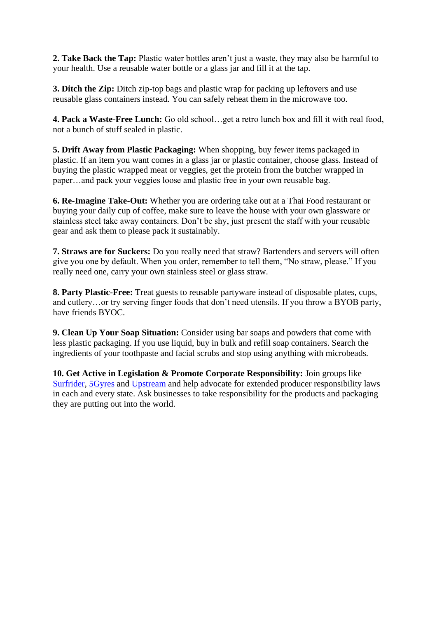**2. Take Back the Tap:** Plastic water bottles aren't just a waste, they may also be harmful to your health. Use a reusable water bottle or a glass jar and fill it at the tap.

**3. Ditch the Zip:** Ditch zip-top bags and plastic wrap for packing up leftovers and use reusable glass containers instead. You can safely reheat them in the microwave too.

**4. Pack a Waste-Free Lunch:** Go old school…get a retro lunch box and fill it with real food, not a bunch of stuff sealed in plastic.

**5. Drift Away from Plastic Packaging:** When shopping, buy fewer items packaged in plastic. If an item you want comes in a glass jar or plastic container, choose glass. Instead of buying the plastic wrapped meat or veggies, get the protein from the butcher wrapped in paper…and pack your veggies loose and plastic free in your own reusable bag.

**6. Re-Imagine Take-Out:** Whether you are ordering take out at a Thai Food restaurant or buying your daily cup of coffee, make sure to leave the house with your own glassware or stainless steel take away containers. Don't be shy, just present the staff with your reusable gear and ask them to please pack it sustainably.

**7. Straws are for Suckers:** Do you really need that straw? Bartenders and servers will often give you one by default. When you order, remember to tell them, "No straw, please." If you really need one, carry your own stainless steel or glass straw.

**8. Party Plastic-Free:** Treat guests to reusable partyware instead of disposable plates, cups, and cutlery…or try serving finger foods that don't need utensils. If you throw a BYOB party, have friends BYOC.

**9. Clean Up Your Soap Situation:** Consider using bar soaps and powders that come with less plastic packaging. If you use liquid, buy in bulk and refill soap containers. Search the ingredients of your toothpaste and facial scrubs and stop using anything with microbeads.

**10. Get Active in Legislation & Promote Corporate Responsibility:** Join groups like [Surfrider,](http://surfrider.org/) [5Gyres](http://5gyres.org/) and [Upstream](http://upstreampolicy.org/) and help advocate for extended producer responsibility laws in each and every state. Ask businesses to take responsibility for the products and packaging they are putting out into the world.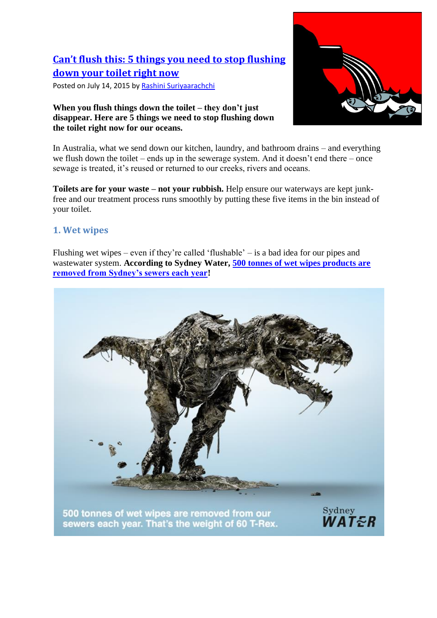# **[Can't flush this: 5 things you need to stop flushing](http://www.greenpeace.org.au/blog/cant-flush-this/) [down your toilet right now](http://www.greenpeace.org.au/blog/cant-flush-this/)**

Posted on July 14, 2015 by [Rashini Suriyaarachchi](http://www.greenpeace.org.au/blog/cant-flush-this/?author=66)

#### **When you flush things down the toilet – they don't just disappear. Here are 5 things we need to stop flushing down the toilet right now for our oceans.**



In Australia, what we send down our kitchen, laundry, and bathroom drains – and everything we flush down the toilet – ends up in the sewerage system. And it doesn't end there – once sewage is treated, it's reused or returned to our creeks, rivers and oceans.

**Toilets are for your waste – not your rubbish.** Help ensure our waterways are kept junkfree and our treatment process runs smoothly by putting these five items in the bin instead of your toilet.

## **1. Wet wipes**

Flushing wet wipes – even if they're called 'flushable' – is a bad idea for our pipes and wastewater system. **According to Sydney Water, [500 tonnes of wet wipes products are](https://www.sydneywatertalk.com.au/wet-wipes)  [removed from Sydney's sewers each year!](https://www.sydneywatertalk.com.au/wet-wipes)**

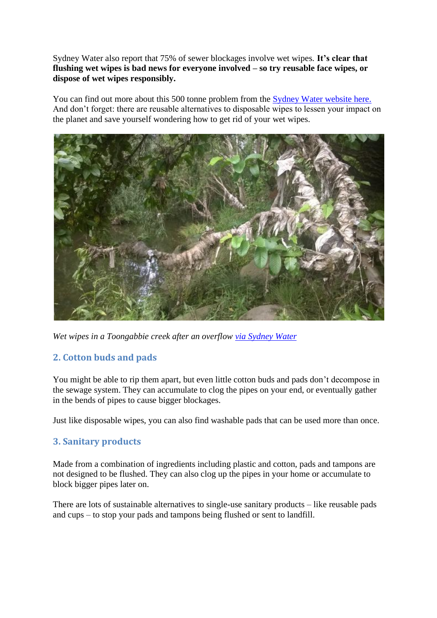Sydney Water also report that 75% of sewer blockages involve wet wipes. **It's clear that flushing wet wipes is bad news for everyone involved – so try reusable face wipes, or dispose of wet wipes responsibly.**

You can find out more about this 500 tonne problem from the [Sydney Water website here.](https://www.sydneywatertalk.com.au/wet-wipes) And don't forget: there are reusable alternatives to disposable wipes to lessen your impact on the planet and save yourself wondering how to get rid of your wet wipes.



*Wet wipes in a Toongabbie creek after an overflow [via Sydney Water](https://www.sydneywatertalk.com.au/wet-wipes/photos/17277)*

## **2. Cotton buds and pads**

You might be able to rip them apart, but even little cotton buds and pads don't decompose in the sewage system. They can accumulate to clog the pipes on your end, or eventually gather in the bends of pipes to cause bigger blockages.

Just like disposable wipes, you can also find washable pads that can be used more than once.

## **3. Sanitary products**

Made from a combination of ingredients including plastic and cotton, pads and tampons are not designed to be flushed. They can also clog up the pipes in your home or accumulate to block bigger pipes later on.

There are lots of sustainable alternatives to single-use sanitary products – like reusable pads and cups – to stop your pads and tampons being flushed or sent to landfill.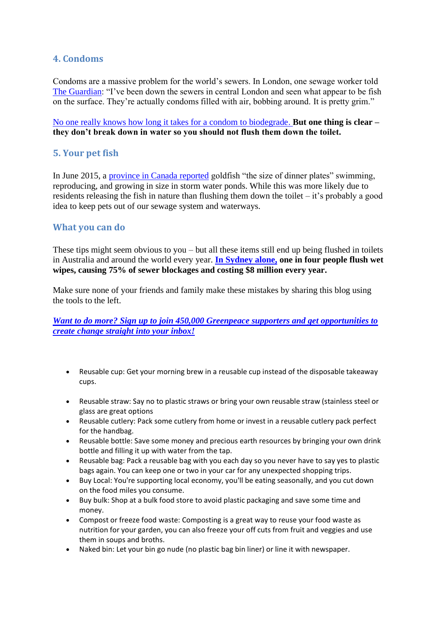## **4. Condoms**

Condoms are a massive problem for the world's sewers. In London, one sewage worker told [The Guardian:](http://www.theguardian.com/environment/shortcuts/2012/oct/26/10-things-you-should-never-flush) "I've been down the sewers in central London and seen what appear to be fish on the surface. They're actually condoms filled with air, bobbing around. It is pretty grim."

[No one really knows how long it takes for a condom to biodegrade](http://ecosalon.com/condoms-helping-environment/)[.](http://contraception.about.com/od/howtos/a/What-Condoms-Are-Made-Of.htm) **But one thing is clear – they don't break down in water so you should not flush them down the toilet.**

## **5. Your pet fish**

In June 2015, a [province in Canada reported](http://www.washingtonpost.com/news/speaking-of-science/wp/2015/06/25/canadian-officials-say-discarded-pet-goldfish-are-multiplying-and-getting-kind-of-ginormous/) goldfish "the size of dinner plates" swimming, reproducing, and growing in size in storm water ponds. While this was more likely due to residents releasing the fish in nature than flushing them down the toilet – it's probably a good idea to keep pets out of our sewage system and waterways.

## **What you can do**

These tips might seem obvious to you – but all these items still end up being flushed in toilets in Australia and around the world every year. **[In Sydney alone,](https://www.sydneywatertalk.com.au/wet-wipes?tool=news_feed#tool_tab) one in four people flush wet wipes, causing 75% of sewer blockages and costing \$8 million every year.** 

Make sure none of your friends and family make these mistakes by sharing this blog using the tools to the left.

*[Want to do more? Sign up to join 450,000 Greenpeace supporters and get opportunities to](https://www.greenpeace.org.au/signup/email/?subscribe=month&src=hpw)  [create change straight into your inbox!](https://www.greenpeace.org.au/signup/email/?subscribe=month&src=hpw)*

- Reusable cup: Get your morning brew in a reusable cup instead of the disposable takeaway cups.
- Reusable straw: Say no to plastic straws or bring your own reusable straw (stainless steel or glass are great options
- Reusable cutlery: Pack some cutlery from home or invest in a reusable cutlery pack perfect for the handbag.
- Reusable bottle: Save some money and precious earth resources by bringing your own drink bottle and filling it up with water from the tap.
- Reusable bag: Pack a reusable bag with you each day so you never have to say yes to plastic bags again. You can keep one or two in your car for any unexpected shopping trips.
- Buy Local: You're supporting local economy, you'll be eating seasonally, and you cut down on the food miles you consume.
- Buy bulk: Shop at a bulk food store to avoid plastic packaging and save some time and money.
- Compost or freeze food waste: Composting is a great way to reuse your food waste as nutrition for your garden, you can also freeze your off cuts from fruit and veggies and use them in soups and broths.
- Naked bin: Let your bin go nude (no plastic bag bin liner) or line it with newspaper.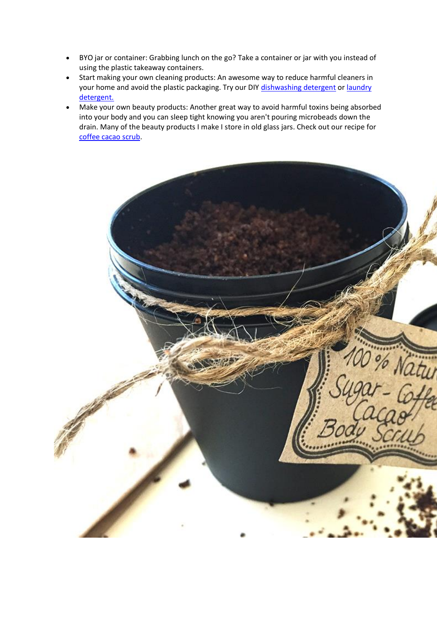- BYO jar or container: Grabbing lunch on the go? Take a container or jar with you instead of using the plastic takeaway containers.
- Start making your own cleaning products: An awesome way to reduce harmful cleaners in your home and avoid the plastic packaging. Try our DIY [dishwashing detergent](http://www.1millionwomen.com.au/blog/how-to-make-your-own-dishwasher-detergent/) or laundry [detergent.](http://www.1millionwomen.com.au/blog/make-your-own-laundry-detergent/)
- Make your own beauty products: Another great way to avoid harmful toxins being absorbed into your body and you can sleep tight knowing you aren't pouring microbeads down the drain. Many of the beauty products I make I store in old glass jars. Check out our recipe for [coffee cacao scrub.](http://www.1millionwomen.com.au/blog/diy-babs-cacao-coffee-body-scrub/)